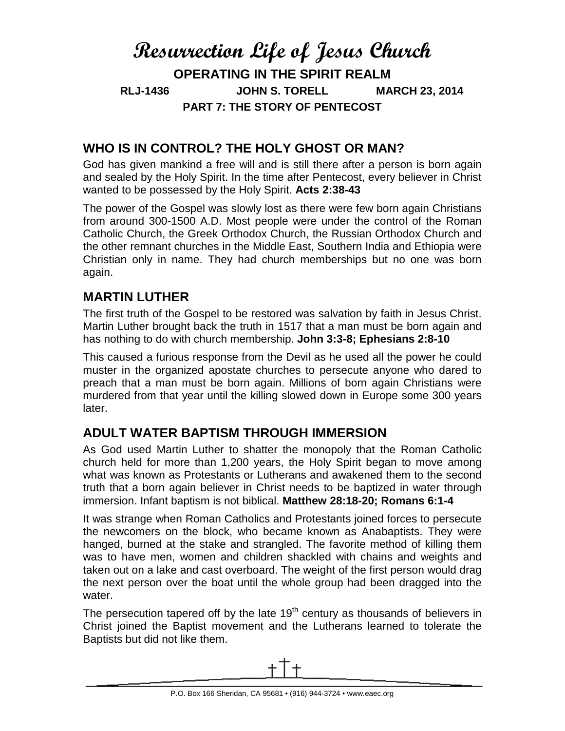# **Resurrection Life of Jesus Church OPERATING IN THE SPIRIT REALM RLJ-1436 JOHN S. TORELL MARCH 23, 2014 PART 7: THE STORY OF PENTECOST**

## **WHO IS IN CONTROL? THE HOLY GHOST OR MAN?**

God has given mankind a free will and is still there after a person is born again and sealed by the Holy Spirit. In the time after Pentecost, every believer in Christ wanted to be possessed by the Holy Spirit. **Acts 2:38-43**

The power of the Gospel was slowly lost as there were few born again Christians from around 300-1500 A.D. Most people were under the control of the Roman Catholic Church, the Greek Orthodox Church, the Russian Orthodox Church and the other remnant churches in the Middle East, Southern India and Ethiopia were Christian only in name. They had church memberships but no one was born again.

### **MARTIN LUTHER**

The first truth of the Gospel to be restored was salvation by faith in Jesus Christ. Martin Luther brought back the truth in 1517 that a man must be born again and has nothing to do with church membership. **John 3:3-8; Ephesians 2:8-10**

This caused a furious response from the Devil as he used all the power he could muster in the organized apostate churches to persecute anyone who dared to preach that a man must be born again. Millions of born again Christians were murdered from that year until the killing slowed down in Europe some 300 years later.

# **ADULT WATER BAPTISM THROUGH IMMERSION**

As God used Martin Luther to shatter the monopoly that the Roman Catholic church held for more than 1,200 years, the Holy Spirit began to move among what was known as Protestants or Lutherans and awakened them to the second truth that a born again believer in Christ needs to be baptized in water through immersion. Infant baptism is not biblical. **Matthew 28:18-20; Romans 6:1-4**

It was strange when Roman Catholics and Protestants joined forces to persecute the newcomers on the block, who became known as Anabaptists. They were hanged, burned at the stake and strangled. The favorite method of killing them was to have men, women and children shackled with chains and weights and taken out on a lake and cast overboard. The weight of the first person would drag the next person over the boat until the whole group had been dragged into the water.

The persecution tapered off by the late  $19<sup>th</sup>$  century as thousands of believers in Christ joined the Baptist movement and the Lutherans learned to tolerate the Baptists but did not like them.

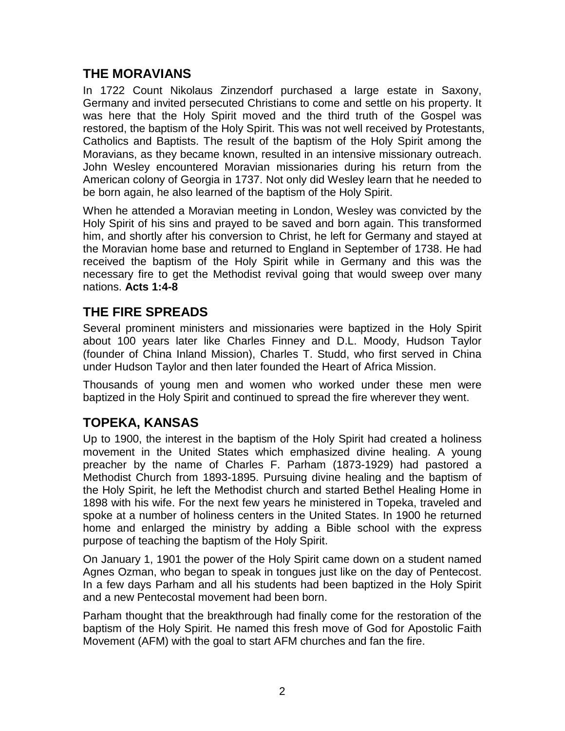### **THE MORAVIANS**

In 1722 Count Nikolaus Zinzendorf purchased a large estate in Saxony, Germany and invited persecuted Christians to come and settle on his property. It was here that the Holy Spirit moved and the third truth of the Gospel was restored, the baptism of the Holy Spirit. This was not well received by Protestants, Catholics and Baptists. The result of the baptism of the Holy Spirit among the Moravians, as they became known, resulted in an intensive missionary outreach. John Wesley encountered Moravian missionaries during his return from the American colony of Georgia in 1737. Not only did Wesley learn that he needed to be born again, he also learned of the baptism of the Holy Spirit.

When he attended a Moravian meeting in London, Wesley was convicted by the Holy Spirit of his sins and prayed to be saved and born again. This transformed him, and shortly after his conversion to Christ, he left for Germany and stayed at the Moravian home base and returned to England in September of 1738. He had received the baptism of the Holy Spirit while in Germany and this was the necessary fire to get the Methodist revival going that would sweep over many nations. **Acts 1:4-8**

# **THE FIRE SPREADS**

Several prominent ministers and missionaries were baptized in the Holy Spirit about 100 years later like Charles Finney and D.L. Moody, Hudson Taylor (founder of China Inland Mission), Charles T. Studd, who first served in China under Hudson Taylor and then later founded the Heart of Africa Mission.

Thousands of young men and women who worked under these men were baptized in the Holy Spirit and continued to spread the fire wherever they went.

# **TOPEKA, KANSAS**

Up to 1900, the interest in the baptism of the Holy Spirit had created a holiness movement in the United States which emphasized divine healing. A young preacher by the name of Charles F. Parham (1873-1929) had pastored a Methodist Church from 1893-1895. Pursuing divine healing and the baptism of the Holy Spirit, he left the Methodist church and started Bethel Healing Home in 1898 with his wife. For the next few years he ministered in Topeka, traveled and spoke at a number of holiness centers in the United States. In 1900 he returned home and enlarged the ministry by adding a Bible school with the express purpose of teaching the baptism of the Holy Spirit.

On January 1, 1901 the power of the Holy Spirit came down on a student named Agnes Ozman, who began to speak in tongues just like on the day of Pentecost. In a few days Parham and all his students had been baptized in the Holy Spirit and a new Pentecostal movement had been born.

Parham thought that the breakthrough had finally come for the restoration of the baptism of the Holy Spirit. He named this fresh move of God for Apostolic Faith Movement (AFM) with the goal to start AFM churches and fan the fire.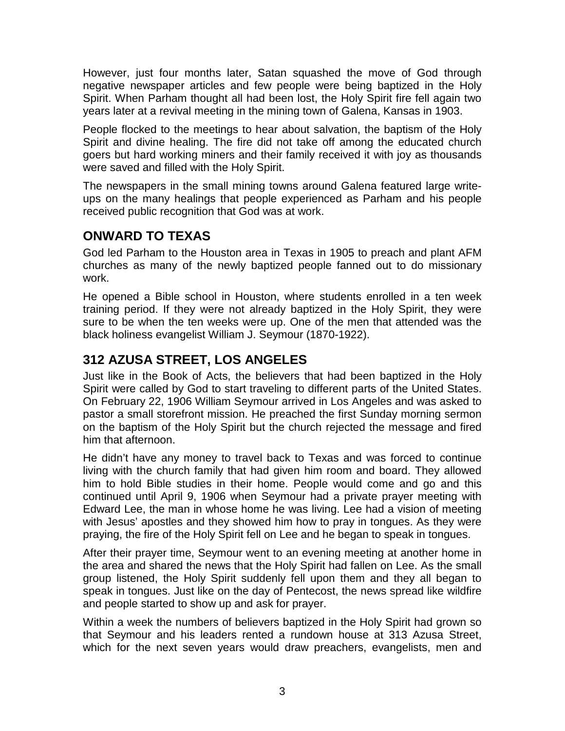However, just four months later, Satan squashed the move of God through negative newspaper articles and few people were being baptized in the Holy Spirit. When Parham thought all had been lost, the Holy Spirit fire fell again two years later at a revival meeting in the mining town of Galena, Kansas in 1903.

People flocked to the meetings to hear about salvation, the baptism of the Holy Spirit and divine healing. The fire did not take off among the educated church goers but hard working miners and their family received it with joy as thousands were saved and filled with the Holy Spirit.

The newspapers in the small mining towns around Galena featured large writeups on the many healings that people experienced as Parham and his people received public recognition that God was at work.

## **ONWARD TO TEXAS**

God led Parham to the Houston area in Texas in 1905 to preach and plant AFM churches as many of the newly baptized people fanned out to do missionary work.

He opened a Bible school in Houston, where students enrolled in a ten week training period. If they were not already baptized in the Holy Spirit, they were sure to be when the ten weeks were up. One of the men that attended was the black holiness evangelist William J. Seymour (1870-1922).

# **312 AZUSA STREET, LOS ANGELES**

Just like in the Book of Acts, the believers that had been baptized in the Holy Spirit were called by God to start traveling to different parts of the United States. On February 22, 1906 William Seymour arrived in Los Angeles and was asked to pastor a small storefront mission. He preached the first Sunday morning sermon on the baptism of the Holy Spirit but the church rejected the message and fired him that afternoon.

He didn't have any money to travel back to Texas and was forced to continue living with the church family that had given him room and board. They allowed him to hold Bible studies in their home. People would come and go and this continued until April 9, 1906 when Seymour had a private prayer meeting with Edward Lee, the man in whose home he was living. Lee had a vision of meeting with Jesus' apostles and they showed him how to pray in tongues. As they were praying, the fire of the Holy Spirit fell on Lee and he began to speak in tongues.

After their prayer time, Seymour went to an evening meeting at another home in the area and shared the news that the Holy Spirit had fallen on Lee. As the small group listened, the Holy Spirit suddenly fell upon them and they all began to speak in tongues. Just like on the day of Pentecost, the news spread like wildfire and people started to show up and ask for prayer.

Within a week the numbers of believers baptized in the Holy Spirit had grown so that Seymour and his leaders rented a rundown house at 313 Azusa Street, which for the next seven years would draw preachers, evangelists, men and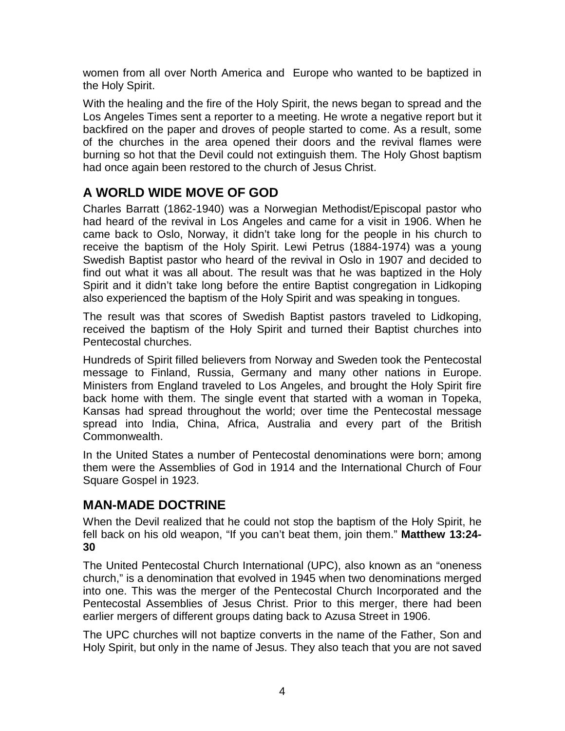women from all over North America and Europe who wanted to be baptized in the Holy Spirit.

With the healing and the fire of the Holy Spirit, the news began to spread and the Los Angeles Times sent a reporter to a meeting. He wrote a negative report but it backfired on the paper and droves of people started to come. As a result, some of the churches in the area opened their doors and the revival flames were burning so hot that the Devil could not extinguish them. The Holy Ghost baptism had once again been restored to the church of Jesus Christ.

# **A WORLD WIDE MOVE OF GOD**

Charles Barratt (1862-1940) was a Norwegian Methodist/Episcopal pastor who had heard of the revival in Los Angeles and came for a visit in 1906. When he came back to Oslo, Norway, it didn't take long for the people in his church to receive the baptism of the Holy Spirit. Lewi Petrus (1884-1974) was a young Swedish Baptist pastor who heard of the revival in Oslo in 1907 and decided to find out what it was all about. The result was that he was baptized in the Holy Spirit and it didn't take long before the entire Baptist congregation in Lidkoping also experienced the baptism of the Holy Spirit and was speaking in tongues.

The result was that scores of Swedish Baptist pastors traveled to Lidkoping, received the baptism of the Holy Spirit and turned their Baptist churches into Pentecostal churches.

Hundreds of Spirit filled believers from Norway and Sweden took the Pentecostal message to Finland, Russia, Germany and many other nations in Europe. Ministers from England traveled to Los Angeles, and brought the Holy Spirit fire back home with them. The single event that started with a woman in Topeka, Kansas had spread throughout the world; over time the Pentecostal message spread into India, China, Africa, Australia and every part of the British Commonwealth.

In the United States a number of Pentecostal denominations were born; among them were the Assemblies of God in 1914 and the International Church of Four Square Gospel in 1923.

### **MAN-MADE DOCTRINE**

When the Devil realized that he could not stop the baptism of the Holy Spirit, he fell back on his old weapon, "If you can't beat them, join them." **Matthew 13:24- 30**

The United Pentecostal Church International (UPC), also known as an "oneness church," is a denomination that evolved in 1945 when two denominations merged into one. This was the merger of the Pentecostal Church Incorporated and the Pentecostal Assemblies of Jesus Christ. Prior to this merger, there had been earlier mergers of different groups dating back to Azusa Street in 1906.

The UPC churches will not baptize converts in the name of the Father, Son and Holy Spirit, but only in the name of Jesus. They also teach that you are not saved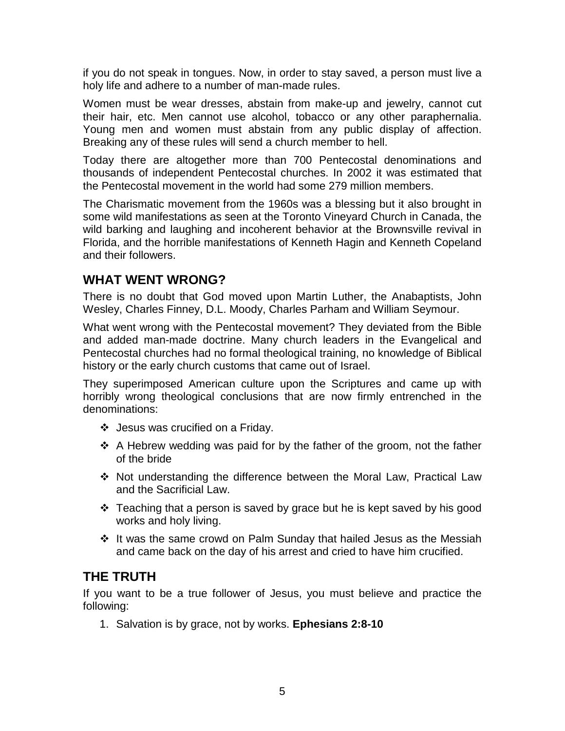if you do not speak in tongues. Now, in order to stay saved, a person must live a holy life and adhere to a number of man-made rules.

Women must be wear dresses, abstain from make-up and jewelry, cannot cut their hair, etc. Men cannot use alcohol, tobacco or any other paraphernalia. Young men and women must abstain from any public display of affection. Breaking any of these rules will send a church member to hell.

Today there are altogether more than 700 Pentecostal denominations and thousands of independent Pentecostal churches. In 2002 it was estimated that the Pentecostal movement in the world had some 279 million members.

The Charismatic movement from the 1960s was a blessing but it also brought in some wild manifestations as seen at the Toronto Vineyard Church in Canada, the wild barking and laughing and incoherent behavior at the Brownsville revival in Florida, and the horrible manifestations of Kenneth Hagin and Kenneth Copeland and their followers.

### **WHAT WENT WRONG?**

There is no doubt that God moved upon Martin Luther, the Anabaptists, John Wesley, Charles Finney, D.L. Moody, Charles Parham and William Seymour.

What went wrong with the Pentecostal movement? They deviated from the Bible and added man-made doctrine. Many church leaders in the Evangelical and Pentecostal churches had no formal theological training, no knowledge of Biblical history or the early church customs that came out of Israel.

They superimposed American culture upon the Scriptures and came up with horribly wrong theological conclusions that are now firmly entrenched in the denominations:

- Jesus was crucified on a Friday.
- $\cdot$  A Hebrew wedding was paid for by the father of the groom, not the father of the bride
- Not understanding the difference between the Moral Law, Practical Law and the Sacrificial Law.
- $\cdot \cdot$  Teaching that a person is saved by grace but he is kept saved by his good works and holy living.
- $\div$  It was the same crowd on Palm Sunday that hailed Jesus as the Messiah and came back on the day of his arrest and cried to have him crucified.

### **THE TRUTH**

If you want to be a true follower of Jesus, you must believe and practice the following:

1. Salvation is by grace, not by works. **Ephesians 2:8-10**